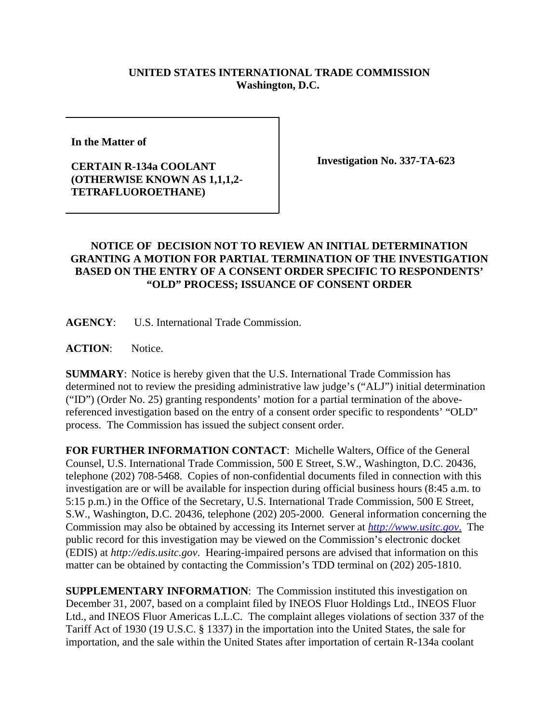## **UNITED STATES INTERNATIONAL TRADE COMMISSION Washington, D.C.**

**In the Matter of** 

## **CERTAIN R-134a COOLANT (OTHERWISE KNOWN AS 1,1,1,2- TETRAFLUOROETHANE)**

**Investigation No. 337-TA-623**

## **NOTICE OF DECISION NOT TO REVIEW AN INITIAL DETERMINATION GRANTING A MOTION FOR PARTIAL TERMINATION OF THE INVESTIGATION BASED ON THE ENTRY OF A CONSENT ORDER SPECIFIC TO RESPONDENTS' "OLD" PROCESS; ISSUANCE OF CONSENT ORDER**

**AGENCY**: U.S. International Trade Commission.

ACTION: Notice.

**SUMMARY**: Notice is hereby given that the U.S. International Trade Commission has determined not to review the presiding administrative law judge's ("ALJ") initial determination ("ID") (Order No. 25) granting respondents' motion for a partial termination of the abovereferenced investigation based on the entry of a consent order specific to respondents' "OLD" process. The Commission has issued the subject consent order.

**FOR FURTHER INFORMATION CONTACT**: Michelle Walters, Office of the General Counsel, U.S. International Trade Commission, 500 E Street, S.W., Washington, D.C. 20436, telephone (202) 708-5468. Copies of non-confidential documents filed in connection with this investigation are or will be available for inspection during official business hours (8:45 a.m. to 5:15 p.m.) in the Office of the Secretary, U.S. International Trade Commission, 500 E Street, S.W., Washington, D.C. 20436, telephone (202) 205-2000. General information concerning the Commission may also be obtained by accessing its Internet server at *http://www.usitc.gov*. The public record for this investigation may be viewed on the Commission's electronic docket (EDIS) at *http://edis.usitc.gov*. Hearing-impaired persons are advised that information on this matter can be obtained by contacting the Commission's TDD terminal on (202) 205-1810.

**SUPPLEMENTARY INFORMATION**: The Commission instituted this investigation on December 31, 2007, based on a complaint filed by INEOS Fluor Holdings Ltd., INEOS Fluor Ltd., and INEOS Fluor Americas L.L.C. The complaint alleges violations of section 337 of the Tariff Act of 1930 (19 U.S.C. § 1337) in the importation into the United States, the sale for importation, and the sale within the United States after importation of certain R-134a coolant